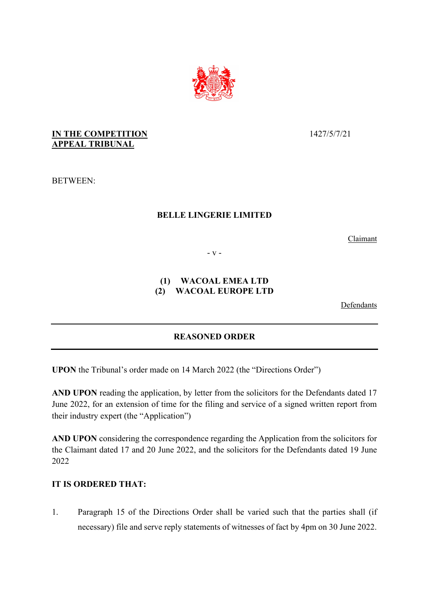

# **IN THE COMPETITION APPEAL TRIBUNAL**

BETWEEN:

#### **BELLE LINGERIE LIMITED**

Claimant

- v -

## **(1) WACOAL EMEA LTD (2) WACOAL EUROPE LTD**

Defendants

# **REASONED ORDER**

**UPON** the Tribunal's order made on 14 March 2022 (the "Directions Order")

**AND UPON** reading the application, by letter from the solicitors for the Defendants dated 17 June 2022, for an extension of time for the filing and service of a signed written report from their industry expert (the "Application")

**AND UPON** considering the correspondence regarding the Application from the solicitors for the Claimant dated 17 and 20 June 2022, and the solicitors for the Defendants dated 19 June 2022

## **IT IS ORDERED THAT:**

1. Paragraph 15 of the Directions Order shall be varied such that the parties shall (if necessary) file and serve reply statements of witnesses of fact by 4pm on 30 June 2022.

1427/5/7/21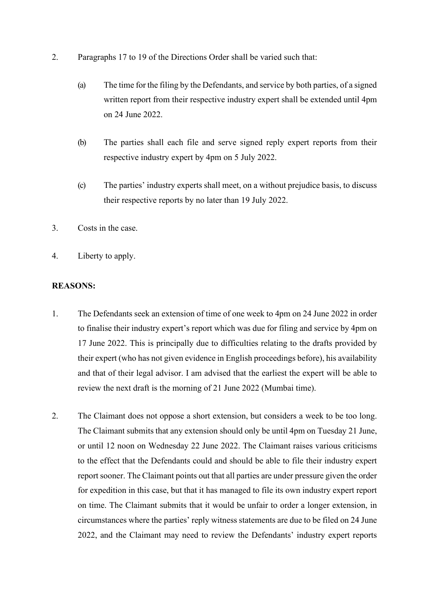- 2. Paragraphs 17 to 19 of the Directions Order shall be varied such that:
	- (a) The time for the filing by the Defendants, and service by both parties, of a signed written report from their respective industry expert shall be extended until 4pm on 24 June 2022.
	- (b) The parties shall each file and serve signed reply expert reports from their respective industry expert by 4pm on 5 July 2022.
	- (c) The parties' industry experts shall meet, on a without prejudice basis, to discuss their respective reports by no later than 19 July 2022.
- 3. Costs in the case.
- 4. Liberty to apply.

#### **REASONS:**

- 1. The Defendants seek an extension of time of one week to 4pm on 24 June 2022 in order to finalise their industry expert's report which was due for filing and service by 4pm on 17 June 2022. This is principally due to difficulties relating to the drafts provided by their expert (who has not given evidence in English proceedings before), his availability and that of their legal advisor. I am advised that the earliest the expert will be able to review the next draft is the morning of 21 June 2022 (Mumbai time).
- 2. The Claimant does not oppose a short extension, but considers a week to be too long. The Claimant submits that any extension should only be until 4pm on Tuesday 21 June, or until 12 noon on Wednesday 22 June 2022. The Claimant raises various criticisms to the effect that the Defendants could and should be able to file their industry expert report sooner. The Claimant points out that all parties are under pressure given the order for expedition in this case, but that it has managed to file its own industry expert report on time. The Claimant submits that it would be unfair to order a longer extension, in circumstances where the parties' reply witness statements are due to be filed on 24 June 2022, and the Claimant may need to review the Defendants' industry expert reports